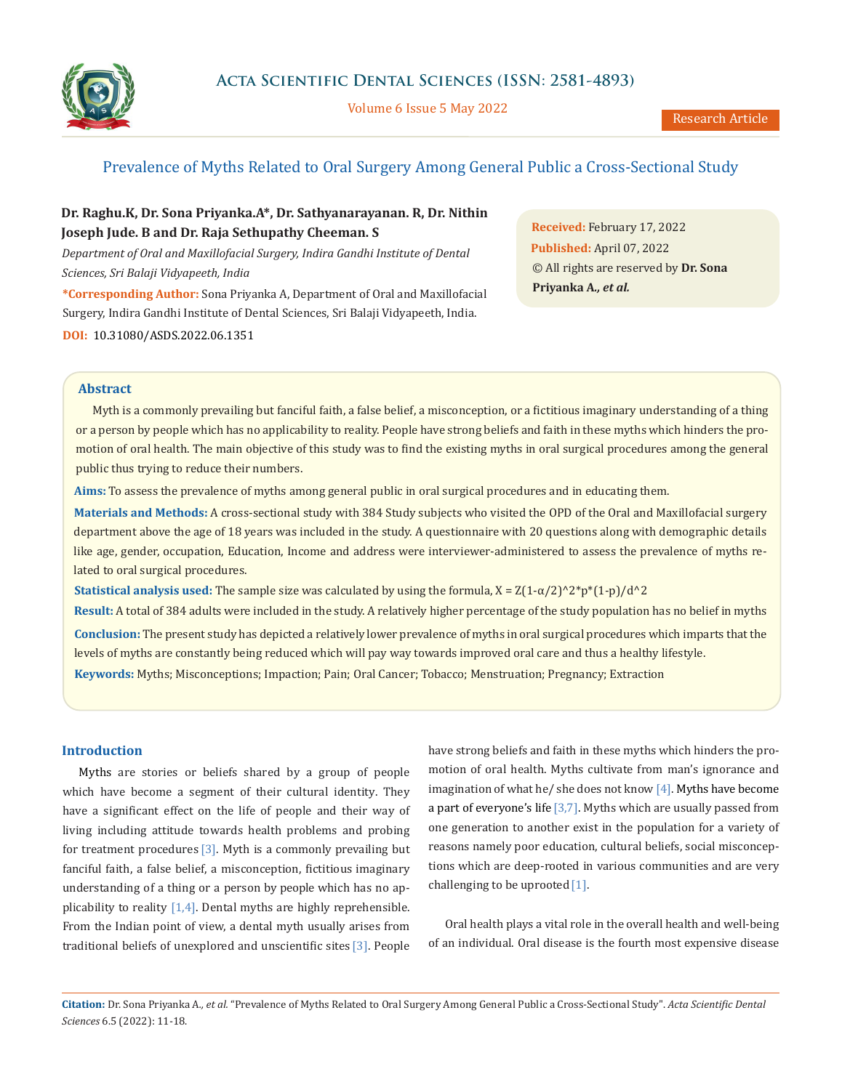

Volume 6 Issue 5 May 2022

# Prevalence of Myths Related to Oral Surgery Among General Public a Cross-Sectional Study

# **Dr. Raghu.K, Dr. Sona Priyanka.A\*, Dr. Sathyanarayanan. R, Dr. Nithin Joseph Jude. B and Dr. Raja Sethupathy Cheeman. S**

*Department of Oral and Maxillofacial Surgery, Indira Gandhi Institute of Dental Sciences, Sri Balaji Vidyapeeth, India*

**\*Corresponding Author:** Sona Priyanka A, Department of Oral and Maxillofacial Surgery, Indira Gandhi Institute of Dental Sciences, Sri Balaji Vidyapeeth, India. **DOI:** [10.31080/ASDS.2022.06.1351](https://actascientific.com/ASDS/pdf/ASDS-06-1351.pdf)

**Received:** February 17, 2022 **Published:** April 07, 2022 © All rights are reserved by **Dr. Sona Priyanka A***., et al.*

### **Abstract**

Myth is a commonly prevailing but fanciful faith, a false belief, a misconception, or a fictitious imaginary understanding of a thing or a person by people which has no applicability to reality. People have strong beliefs and faith in these myths which hinders the promotion of oral health. The main objective of this study was to find the existing myths in oral surgical procedures among the general public thus trying to reduce their numbers.

**Aims:** To assess the prevalence of myths among general public in oral surgical procedures and in educating them.

**Materials and Methods:** A cross-sectional study with 384 Study subjects who visited the OPD of the Oral and Maxillofacial surgery department above the age of 18 years was included in the study. A questionnaire with 20 questions along with demographic details like age, gender, occupation, Education, Income and address were interviewer-administered to assess the prevalence of myths related to oral surgical procedures.

**Statistical analysis used:** The sample size was calculated by using the formula,  $X = Z(1-\alpha/2)^2\gamma^*p^*(1-p)/d^2$ 

**Keywords:** Myths; Misconceptions; Impaction; Pain; Oral Cancer; Tobacco; Menstruation; Pregnancy; Extraction **Result:** A total of 384 adults were included in the study. A relatively higher percentage of the study population has no belief in myths **Conclusion:** The present study has depicted a relatively lower prevalence of myths in oral surgical procedures which imparts that the levels of myths are constantly being reduced which will pay way towards improved oral care and thus a healthy lifestyle.

## **Introduction**

Myths are stories or beliefs shared by a group of people which have become a segment of their cultural identity. They have a significant effect on the life of people and their way of living including attitude towards health problems and probing for treatment procedures [3]. Myth is a commonly prevailing but fanciful faith, a false belief, a misconception, fictitious imaginary understanding of a thing or a person by people which has no applicability to reality [1,4]. Dental myths are highly reprehensible. From the Indian point of view, a dental myth usually arises from traditional beliefs of unexplored and unscientific sites [3]. People have strong beliefs and faith in these myths which hinders the promotion of oral health. Myths cultivate from man's ignorance and imagination of what he/ she does not know [4]. Myths have become a part of everyone's life  $[3,7]$ . Myths which are usually passed from one generation to another exist in the population for a variety of reasons namely poor education, cultural beliefs, social misconceptions which are deep-rooted in various communities and are very challenging to be uprooted [1].

Oral health plays a vital role in the overall health and well-being of an individual. Oral disease is the fourth most expensive disease

**Citation:** Dr. Sona Priyanka A*., et al.* "Prevalence of Myths Related to Oral Surgery Among General Public a Cross-Sectional Study". *Acta Scientific Dental Sciences* 6.5 (2022): 11-18.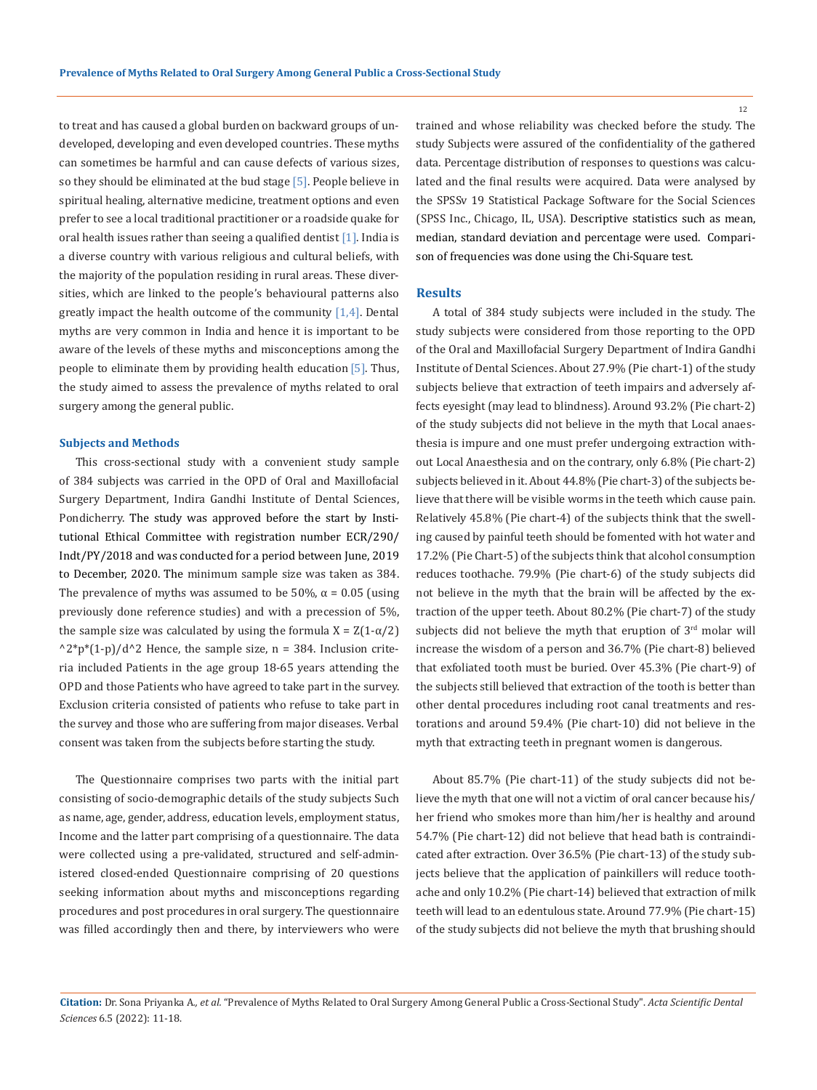to treat and has caused a global burden on backward groups of undeveloped, developing and even developed countries. These myths can sometimes be harmful and can cause defects of various sizes, so they should be eliminated at the bud stage [5]. People believe in spiritual healing, alternative medicine, treatment options and even prefer to see a local traditional practitioner or a roadside quake for oral health issues rather than seeing a qualified dentist [1]. India is a diverse country with various religious and cultural beliefs, with the majority of the population residing in rural areas. These diversities, which are linked to the people's behavioural patterns also greatly impact the health outcome of the community [1,4]. Dental myths are very common in India and hence it is important to be aware of the levels of these myths and misconceptions among the people to eliminate them by providing health education [5]. Thus, the study aimed to assess the prevalence of myths related to oral surgery among the general public.

## **Subjects and Methods**

This cross-sectional study with a convenient study sample of 384 subjects was carried in the OPD of Oral and Maxillofacial Surgery Department, Indira Gandhi Institute of Dental Sciences, Pondicherry. The study was approved before the start by Institutional Ethical Committee with registration number ECR/290/ Indt/PY/2018 and was conducted for a period between June, 2019 to December, 2020. The minimum sample size was taken as 384. The prevalence of myths was assumed to be 50%,  $\alpha$  = 0.05 (using previously done reference studies) and with a precession of 5%, the sample size was calculated by using the formula  $X = Z(1-\alpha/2)$  $^2*p*(1-p)/d^2$  Hence, the sample size, n = 384. Inclusion criteria included Patients in the age group 18-65 years attending the OPD and those Patients who have agreed to take part in the survey. Exclusion criteria consisted of patients who refuse to take part in the survey and those who are suffering from major diseases. Verbal consent was taken from the subjects before starting the study.

The Questionnaire comprises two parts with the initial part consisting of socio-demographic details of the study subjects Such as name, age, gender, address, education levels, employment status, Income and the latter part comprising of a questionnaire. The data were collected using a pre-validated, structured and self-administered closed-ended Questionnaire comprising of 20 questions seeking information about myths and misconceptions regarding procedures and post procedures in oral surgery. The questionnaire was filled accordingly then and there, by interviewers who were

trained and whose reliability was checked before the study. The study Subjects were assured of the confidentiality of the gathered data. Percentage distribution of responses to questions was calculated and the final results were acquired. Data were analysed by the SPSSv 19 Statistical Package Software for the Social Sciences (SPSS Inc., Chicago, IL, USA). Descriptive statistics such as mean, median, standard deviation and percentage were used. Comparison of frequencies was done using the Chi-Square test.

#### **Results**

A total of 384 study subjects were included in the study. The study subjects were considered from those reporting to the OPD of the Oral and Maxillofacial Surgery Department of Indira Gandhi Institute of Dental Sciences. About 27.9% (Pie chart-1) of the study subjects believe that extraction of teeth impairs and adversely affects eyesight (may lead to blindness). Around 93.2% (Pie chart-2) of the study subjects did not believe in the myth that Local anaesthesia is impure and one must prefer undergoing extraction without Local Anaesthesia and on the contrary, only 6.8% (Pie chart-2) subjects believed in it. About 44.8% (Pie chart-3) of the subjects believe that there will be visible worms in the teeth which cause pain. Relatively 45.8% (Pie chart-4) of the subjects think that the swelling caused by painful teeth should be fomented with hot water and 17.2% (Pie Chart-5) of the subjects think that alcohol consumption reduces toothache. 79.9% (Pie chart-6) of the study subjects did not believe in the myth that the brain will be affected by the extraction of the upper teeth. About 80.2% (Pie chart-7) of the study subjects did not believe the myth that eruption of 3rd molar will increase the wisdom of a person and 36.7% (Pie chart-8) believed that exfoliated tooth must be buried. Over 45.3% (Pie chart-9) of the subjects still believed that extraction of the tooth is better than other dental procedures including root canal treatments and restorations and around 59.4% (Pie chart-10) did not believe in the myth that extracting teeth in pregnant women is dangerous.

About 85.7% (Pie chart-11) of the study subjects did not believe the myth that one will not a victim of oral cancer because his/ her friend who smokes more than him/her is healthy and around 54.7% (Pie chart-12) did not believe that head bath is contraindicated after extraction. Over 36.5% (Pie chart-13) of the study subjects believe that the application of painkillers will reduce toothache and only 10.2% (Pie chart-14) believed that extraction of milk teeth will lead to an edentulous state. Around 77.9% (Pie chart-15) of the study subjects did not believe the myth that brushing should

12

**Citation:** Dr. Sona Priyanka A*., et al.* "Prevalence of Myths Related to Oral Surgery Among General Public a Cross-Sectional Study". *Acta Scientific Dental Sciences* 6.5 (2022): 11-18.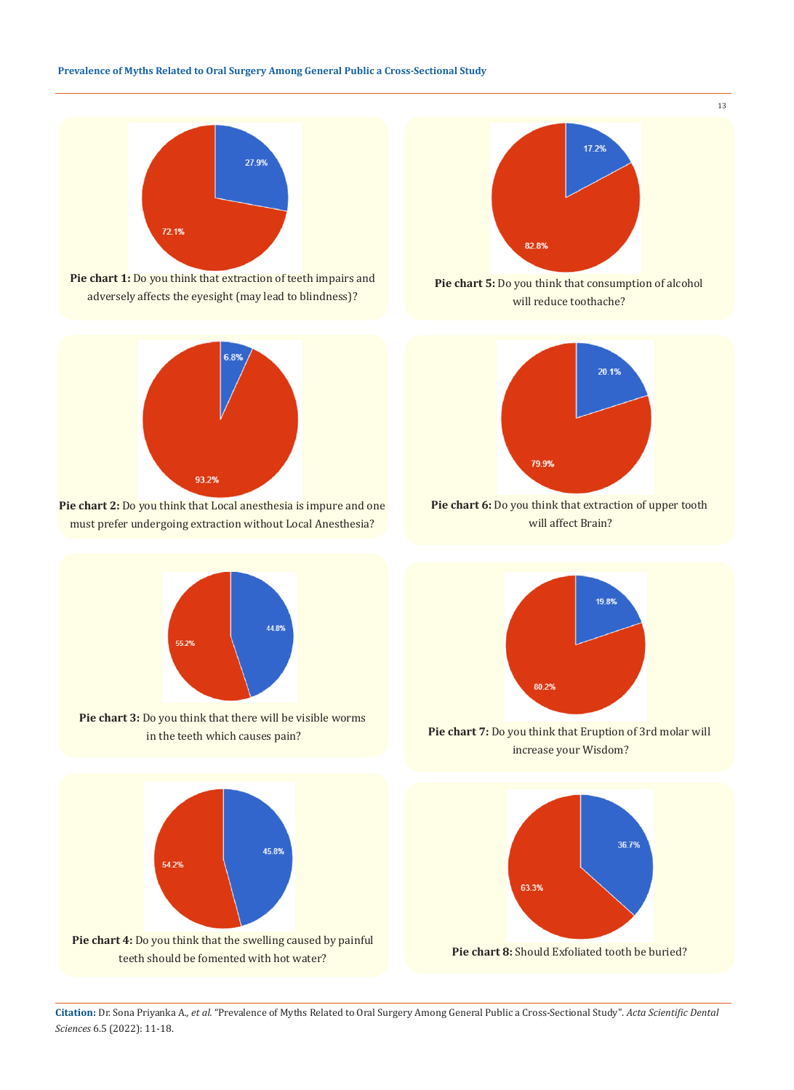





**Pie chart 2:** Do you think that Local anesthesia is impure and one must prefer undergoing extraction without Local Anesthesia?



**Pie chart 3:** Do you think that there will be visible worms in the teeth which causes pain?





**Pie chart 5:** Do you think that consumption of alcohol will reduce toothache?



**Pie chart 6:** Do you think that extraction of upper tooth will affect Brain?



**Pie chart 7:** Do you think that Eruption of 3rd molar will increase your Wisdom?



**Citation:** Dr. Sona Priyanka A*., et al.* "Prevalence of Myths Related to Oral Surgery Among General Public a Cross-Sectional Study". *Acta Scientific Dental Sciences* 6.5 (2022): 11-18.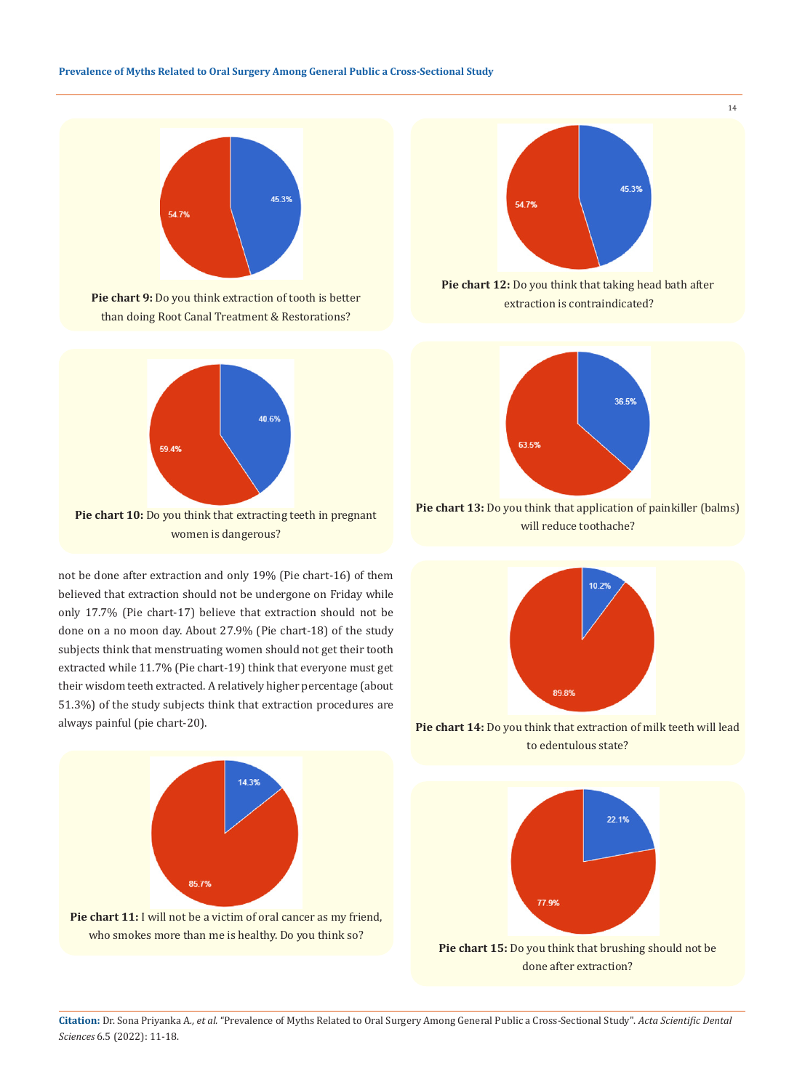





not be done after extraction and only 19% (Pie chart-16) of them believed that extraction should not be undergone on Friday while only 17.7% (Pie chart-17) believe that extraction should not be done on a no moon day. About 27.9% (Pie chart-18) of the study subjects think that menstruating women should not get their tooth extracted while 11.7% (Pie chart-19) think that everyone must get their wisdom teeth extracted. A relatively higher percentage (about 51.3%) of the study subjects think that extraction procedures are always painful (pie chart-20).





14

**Pie chart 12:** Do you think that taking head bath after extraction is contraindicated?



**Pie chart 13:** Do you think that application of painkiller (balms) will reduce toothache?



**Pie chart 14:** Do you think that extraction of milk teeth will lead to edentulous state?



**Pie chart 15:** Do you think that brushing should not be done after extraction?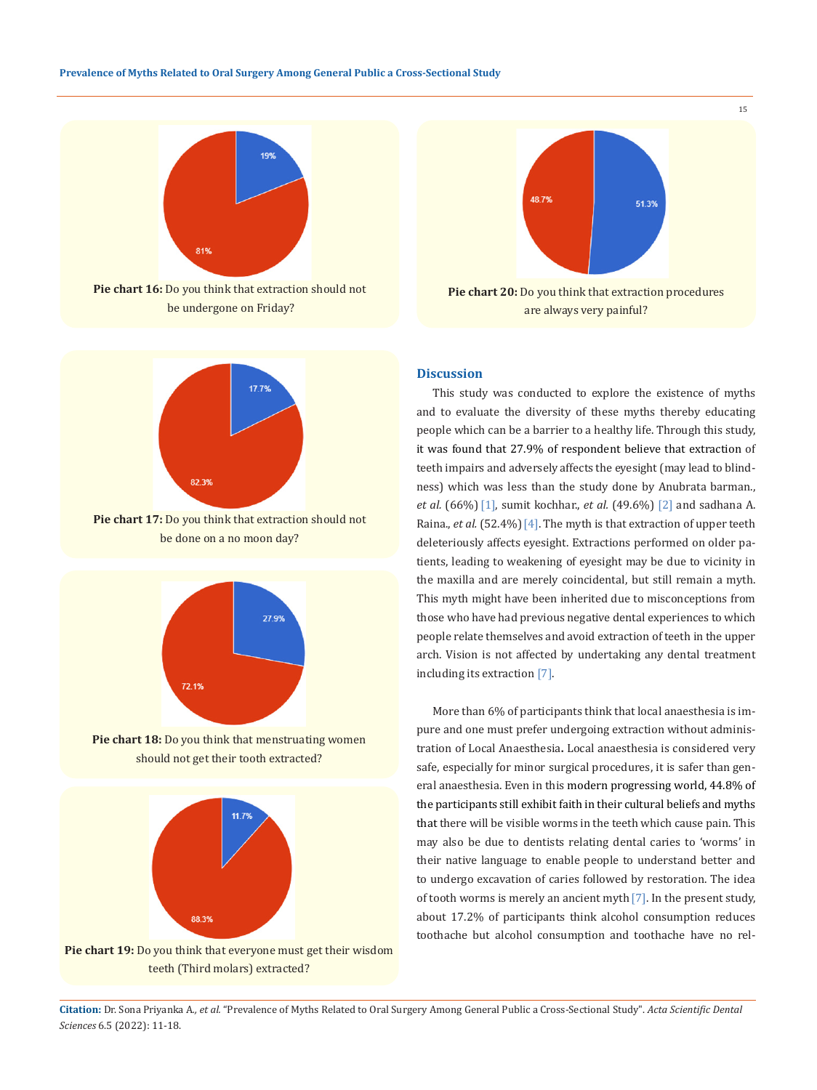

**Pie chart 16:** Do you think that extraction should not be undergone on Friday?



**Pie chart 17:** Do you think that extraction should not be done on a no moon day?



**Pie chart 18:** Do you think that menstruating women should not get their tooth extracted?







#### **Discussion**

This study was conducted to explore the existence of myths and to evaluate the diversity of these myths thereby educating people which can be a barrier to a healthy life. Through this study, it was found that 27.9% of respondent believe that extraction of teeth impairs and adversely affects the eyesight (may lead to blindness) which was less than the study done by Anubrata barman., *et al.* (66%)[1], sumit kochhar., *et al.* (49.6%) [2] and sadhana A. Raina., *et al.* (52.4%)<sup>[4]</sup>. The myth is that extraction of upper teeth deleteriously affects eyesight. Extractions performed on older patients, leading to weakening of eyesight may be due to vicinity in the maxilla and are merely coincidental, but still remain a myth. This myth might have been inherited due to misconceptions from those who have had previous negative dental experiences to which people relate themselves and avoid extraction of teeth in the upper arch. Vision is not affected by undertaking any dental treatment including its extraction [7].

More than 6% of participants think that local anaesthesia is impure and one must prefer undergoing extraction without administration of Local Anaesthesia**.** Local anaesthesia is considered very safe, especially for minor surgical procedures, it is safer than general anaesthesia. Even in this modern progressing world, 44.8% of the participants still exhibit faith in their cultural beliefs and myths that there will be visible worms in the teeth which cause pain. This may also be due to dentists relating dental caries to 'worms' in their native language to enable people to understand better and to undergo excavation of caries followed by restoration. The idea of tooth worms is merely an ancient myth[7]. In the present study, about 17.2% of participants think alcohol consumption reduces toothache but alcohol consumption and toothache have no rel-

**Citation:** Dr. Sona Priyanka A*., et al.* "Prevalence of Myths Related to Oral Surgery Among General Public a Cross-Sectional Study". *Acta Scientific Dental Sciences* 6.5 (2022): 11-18.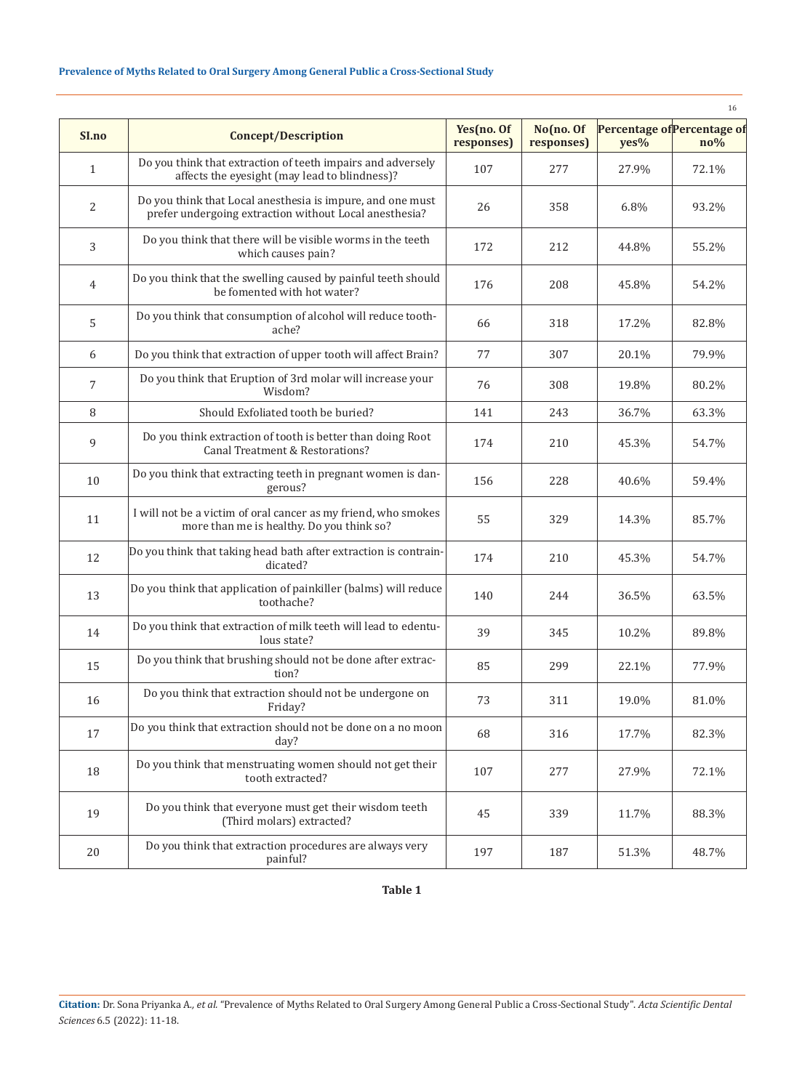# **Prevalence of Myths Related to Oral Surgery Among General Public a Cross-Sectional Study**

|                |                                                                                                                      |                          |                         |       | 16                                             |
|----------------|----------------------------------------------------------------------------------------------------------------------|--------------------------|-------------------------|-------|------------------------------------------------|
| SI.no          | <b>Concept/Description</b>                                                                                           | Yes(no. Of<br>responses) | No(no. Of<br>responses) | yes%  | Percentage of Percentage of<br>$\mathbf{no}\%$ |
| $\mathbf{1}$   | Do you think that extraction of teeth impairs and adversely<br>affects the eyesight (may lead to blindness)?         | 107                      | 277                     | 27.9% | 72.1%                                          |
| 2              | Do you think that Local anesthesia is impure, and one must<br>prefer undergoing extraction without Local anesthesia? | 26                       | 358                     | 6.8%  | 93.2%                                          |
| 3              | Do you think that there will be visible worms in the teeth<br>which causes pain?                                     | 172                      | 212                     | 44.8% | 55.2%                                          |
| $\overline{4}$ | Do you think that the swelling caused by painful teeth should<br>be fomented with hot water?                         | 176                      | 208                     | 45.8% | 54.2%                                          |
| 5              | Do you think that consumption of alcohol will reduce tooth-<br>ache?                                                 | 66                       | 318                     | 17.2% | 82.8%                                          |
| 6              | Do you think that extraction of upper tooth will affect Brain?                                                       | 77                       | 307                     | 20.1% | 79.9%                                          |
| $\overline{7}$ | Do you think that Eruption of 3rd molar will increase your<br>Wisdom?                                                | 76                       | 308                     | 19.8% | 80.2%                                          |
| 8              | Should Exfoliated tooth be buried?                                                                                   | 141                      | 243                     | 36.7% | 63.3%                                          |
| 9              | Do you think extraction of tooth is better than doing Root<br>Canal Treatment & Restorations?                        | 174                      | 210                     | 45.3% | 54.7%                                          |
| 10             | Do you think that extracting teeth in pregnant women is dan-<br>gerous?                                              | 156                      | 228                     | 40.6% | 59.4%                                          |
| 11             | I will not be a victim of oral cancer as my friend, who smokes<br>more than me is healthy. Do you think so?          | 55                       | 329                     | 14.3% | 85.7%                                          |
| 12             | Do you think that taking head bath after extraction is contrain-<br>dicated?                                         | 174                      | 210                     | 45.3% | 54.7%                                          |
| 13             | Do you think that application of painkiller (balms) will reduce<br>toothache?                                        | 140                      | 244                     | 36.5% | 63.5%                                          |
| 14             | Do you think that extraction of milk teeth will lead to edentu-<br>lous state?                                       | 39                       | 345                     | 10.2% | 89.8%                                          |
| 15             | Do you think that brushing should not be done after extrac-<br>tion?                                                 | 85                       | 299                     | 22.1% | 77.9%                                          |
| 16             | Do you think that extraction should not be undergone on<br>Friday?                                                   | 73                       | 311                     | 19.0% | 81.0%                                          |
| 17             | Do you think that extraction should not be done on a no moon<br>day?                                                 | 68                       | 316                     | 17.7% | 82.3%                                          |
| $18\,$         | Do you think that menstruating women should not get their<br>tooth extracted?                                        | 107                      | 277                     | 27.9% | 72.1%                                          |
| 19             | Do you think that everyone must get their wisdom teeth<br>(Third molars) extracted?                                  | 45                       | 339                     | 11.7% | 88.3%                                          |
| 20             | Do you think that extraction procedures are always very<br>painful?                                                  | 197                      | 187                     | 51.3% | 48.7%                                          |

**Table 1**

**Citation:** Dr. Sona Priyanka A*., et al.* "Prevalence of Myths Related to Oral Surgery Among General Public a Cross-Sectional Study". *Acta Scientific Dental Sciences* 6.5 (2022): 11-18.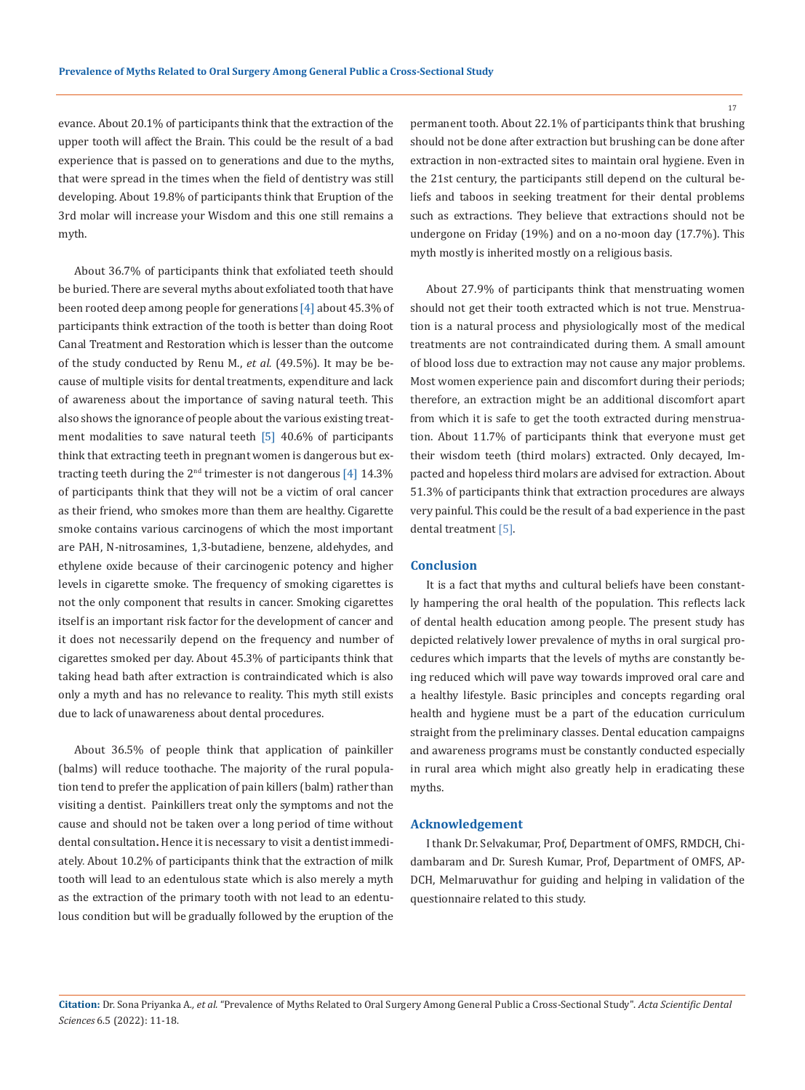evance. About 20.1% of participants think that the extraction of the upper tooth will affect the Brain. This could be the result of a bad experience that is passed on to generations and due to the myths, that were spread in the times when the field of dentistry was still developing. About 19.8% of participants think that Eruption of the 3rd molar will increase your Wisdom and this one still remains a myth.

About 36.7% of participants think that exfoliated teeth should be buried. There are several myths about exfoliated tooth that have been rooted deep among people for generations [4] about 45.3% of participants think extraction of the tooth is better than doing Root Canal Treatment and Restoration which is lesser than the outcome of the study conducted by Renu M., *et al.* (49.5%). It may be because of multiple visits for dental treatments, expenditure and lack of awareness about the importance of saving natural teeth. This also shows the ignorance of people about the various existing treatment modalities to save natural teeth [5] 40.6% of participants think that extracting teeth in pregnant women is dangerous but extracting teeth during the  $2<sup>nd</sup>$  trimester is not dangerous [4] 14.3% of participants think that they will not be a victim of oral cancer as their friend, who smokes more than them are healthy. Cigarette smoke contains various carcinogens of which the most important are PAH, N-nitrosamines, 1,3-butadiene, benzene, aldehydes, and ethylene oxide because of their carcinogenic potency and higher levels in cigarette smoke. The frequency of smoking cigarettes is not the only component that results in cancer. Smoking cigarettes itself is an important risk factor for the development of cancer and it does not necessarily depend on the frequency and number of cigarettes smoked per day. About 45.3% of participants think that taking head bath after extraction is contraindicated which is also only a myth and has no relevance to reality. This myth still exists due to lack of unawareness about dental procedures.

About 36.5% of people think that application of painkiller (balms) will reduce toothache. The majority of the rural population tend to prefer the application of pain killers (balm) rather than visiting a dentist. Painkillers treat only the symptoms and not the cause and should not be taken over a long period of time without dental consultation**.** Hence it is necessary to visit a dentist immediately. About 10.2% of participants think that the extraction of milk tooth will lead to an edentulous state which is also merely a myth as the extraction of the primary tooth with not lead to an edentulous condition but will be gradually followed by the eruption of the

permanent tooth. About 22.1% of participants think that brushing should not be done after extraction but brushing can be done after extraction in non-extracted sites to maintain oral hygiene. Even in the 21st century, the participants still depend on the cultural beliefs and taboos in seeking treatment for their dental problems such as extractions. They believe that extractions should not be undergone on Friday (19%) and on a no-moon day (17.7%). This myth mostly is inherited mostly on a religious basis.

About 27.9% of participants think that menstruating women should not get their tooth extracted which is not true. Menstruation is a natural process and physiologically most of the medical treatments are not contraindicated during them. A small amount of blood loss due to extraction may not cause any major problems. Most women experience pain and discomfort during their periods; therefore, an extraction might be an additional discomfort apart from which it is safe to get the tooth extracted during menstruation. About 11.7% of participants think that everyone must get their wisdom teeth (third molars) extracted. Only decayed, Impacted and hopeless third molars are advised for extraction. About 51.3% of participants think that extraction procedures are always very painful. This could be the result of a bad experience in the past dental treatment [5].

### **Conclusion**

It is a fact that myths and cultural beliefs have been constantly hampering the oral health of the population. This reflects lack of dental health education among people. The present study has depicted relatively lower prevalence of myths in oral surgical procedures which imparts that the levels of myths are constantly being reduced which will pave way towards improved oral care and a healthy lifestyle. Basic principles and concepts regarding oral health and hygiene must be a part of the education curriculum straight from the preliminary classes. Dental education campaigns and awareness programs must be constantly conducted especially in rural area which might also greatly help in eradicating these myths.

# **Acknowledgement**

I thank Dr. Selvakumar, Prof, Department of OMFS, RMDCH, Chidambaram and Dr. Suresh Kumar, Prof, Department of OMFS, AP-DCH, Melmaruvathur for guiding and helping in validation of the questionnaire related to this study.

**Citation:** Dr. Sona Priyanka A*., et al.* "Prevalence of Myths Related to Oral Surgery Among General Public a Cross-Sectional Study". *Acta Scientific Dental Sciences* 6.5 (2022): 11-18.

17